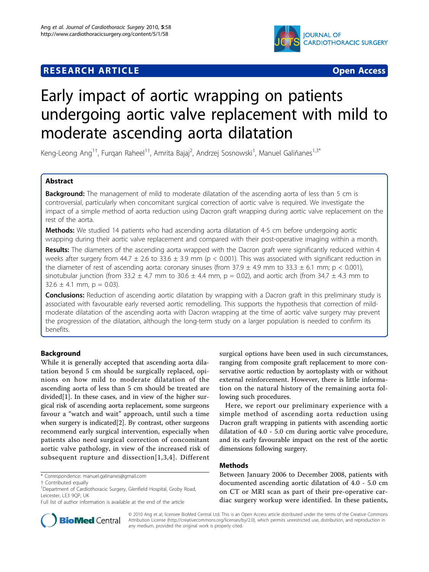## **RESEARCH ARTICLE External Structure of the Contract Open Access**



# Early impact of aortic wrapping on patients undergoing aortic valve replacement with mild to moderate ascending aorta dilatation

Keng-Leong Ang<sup>1†</sup>, Furqan Raheel<sup>1†</sup>, Amrita Bajaj<sup>2</sup>, Andrzej Sosnowski<sup>1</sup>, Manuel Galiñanes<sup>1,3\*</sup>

## Abstract

**Background:** The management of mild to moderate dilatation of the ascending aorta of less than 5 cm is controversial, particularly when concomitant surgical correction of aortic valve is required. We investigate the impact of a simple method of aorta reduction using Dacron graft wrapping during aortic valve replacement on the rest of the aorta.

**Methods:** We studied 14 patients who had ascending aorta dilatation of 4-5 cm before undergoing aortic wrapping during their aortic valve replacement and compared with their post-operative imaging within a month.

Results: The diameters of the ascending aorta wrapped with the Dacron graft were significantly reduced within 4 weeks after surgery from 44.7  $\pm$  2.6 to 33.6  $\pm$  3.9 mm (p < 0.001). This was associated with significant reduction in the diameter of rest of ascending aorta: coronary sinuses (from  $37.9 \pm 4.9$  mm to  $33.3 \pm 6.1$  mm; p < 0.001), sinotubular junction (from 33.2  $\pm$  4.7 mm to 30.6  $\pm$  4.4 mm, p = 0.02), and aortic arch (from 34.7  $\pm$  4.3 mm to  $32.6 \pm 4.1$  mm,  $p = 0.03$ ).

**Conclusions:** Reduction of ascending aortic dilatation by wrapping with a Dacron graft in this preliminary study is associated with favourable early reversed aortic remodelling. This supports the hypothesis that correction of mildmoderate dilatation of the ascending aorta with Dacron wrapping at the time of aortic valve surgery may prevent the progression of the dilatation, although the long-term study on a larger population is needed to confirm its benefits.

## Background

While it is generally accepted that ascending aorta dilatation beyond 5 cm should be surgically replaced, opinions on how mild to moderate dilatation of the ascending aorta of less than 5 cm should be treated are divided[[1\]](#page-3-0). In these cases, and in view of the higher surgical risk of ascending aorta replacement, some surgeons favour a "watch and wait" approach, until such a time when surgery is indicated<sup>[[2\]](#page-3-0)</sup>. By contrast, other surgeons recommend early surgical intervention, especially when patients also need surgical correction of concomitant aortic valve pathology, in view of the increased risk of subsequent rupture and dissection[[1](#page-3-0),[3,4\]](#page-3-0). Different



Here, we report our preliminary experience with a simple method of ascending aorta reduction using Dacron graft wrapping in patients with ascending aortic dilatation of 4.0 - 5.0 cm during aortic valve procedure, and its early favourable impact on the rest of the aortic dimensions following surgery.

## Methods

Between January 2006 to December 2008, patients with documented ascending aortic dilatation of 4.0 - 5.0 cm on CT or MRI scan as part of their pre-operative cardiac surgery workup were identified. In these patients,



© 2010 Ang et al; licensee BioMed Central Ltd. This is an Open Access article distributed under the terms of the Creative Commons Attribution License [\(http://creativecommons.org/licenses/by/2.0](http://creativecommons.org/licenses/by/2.0)), which permits unrestricted use, distribution, and reproduction in any medium, provided the original work is properly cited.

<sup>\*</sup> Correspondence: [manuel.galinanes@gmail.com](mailto:manuel.galinanes@gmail.com)

<sup>†</sup> Contributed equally <sup>1</sup>

<sup>&</sup>lt;sup>1</sup>Department of Cardiothoracic Surgery, Glenfield Hospital, Groby Road, Leicester, LE3 9QP, UK

Full list of author information is available at the end of the article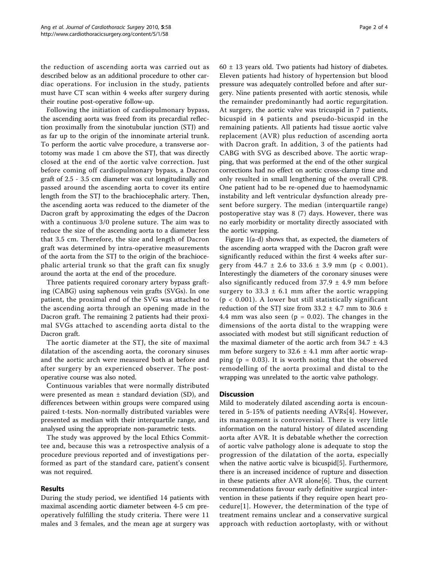the reduction of ascending aorta was carried out as described below as an additional procedure to other cardiac operations. For inclusion in the study, patients must have CT scan within 4 weeks after surgery during their routine post-operative follow-up.

Following the initiation of cardiopulmonary bypass, the ascending aorta was freed from its precardial reflection proximally from the sinotubular junction (STJ) and as far up to the origin of the innominate arterial trunk. To perform the aortic valve procedure, a transverse aortotomy was made 1 cm above the STJ, that was directly closed at the end of the aortic valve correction. Just before coming off cardiopulmonary bypass, a Dacron graft of 2.5 - 3.5 cm diameter was cut longitudinally and passed around the ascending aorta to cover its entire length from the STJ to the brachiocephalic artery. Then, the ascending aorta was reduced to the diameter of the Dacron graft by approximating the edges of the Dacron with a continuous 3/0 prolene suture. The aim was to reduce the size of the ascending aorta to a diameter less that 3.5 cm. Therefore, the size and length of Dacron graft was determined by intra-operative measurements of the aorta from the STJ to the origin of the brachiocephalic arterial trunk so that the graft can fix snugly around the aorta at the end of the procedure.

Three patients required coronary artery bypass grafting (CABG) using saphenous vein grafts (SVGs). In one patient, the proximal end of the SVG was attached to the ascending aorta through an opening made in the Dacron graft. The remaining 2 patients had their proximal SVGs attached to ascending aorta distal to the Dacron graft.

The aortic diameter at the STJ, the site of maximal dilatation of the ascending aorta, the coronary sinuses and the aortic arch were measured both at before and after surgery by an experienced observer. The postoperative course was also noted.

Continuous variables that were normally distributed were presented as mean ± standard deviation (SD), and differences between within groups were compared using paired t-tests. Non-normally distributed variables were presented as median with their interquartile range, and analysed using the appropriate non-parametric tests.

The study was approved by the local Ethics Committee and, because this was a retrospective analysis of a procedure previous reported and of investigations performed as part of the standard care, patient's consent was not required.

## Results

During the study period, we identified 14 patients with maximal ascending aortic diameter between 4-5 cm preoperatively fulfilling the study criteria. There were 11 males and 3 females, and the mean age at surgery was  $60 \pm 13$  years old. Two patients had history of diabetes. Eleven patients had history of hypertension but blood pressure was adequately controlled before and after surgery. Nine patients presented with aortic stenosis, while the remainder predominantly had aortic regurgitation. At surgery, the aortic valve was tricuspid in 7 patients, bicuspid in 4 patients and pseudo-bicuspid in the remaining patients. All patients had tissue aortic valve replacement (AVR) plus reduction of ascending aorta with Dacron graft. In addition, 3 of the patients had CABG with SVG as described above. The aortic wrapping, that was performed at the end of the other surgical corrections had no effect on aortic cross-clamp time and only resulted in small lengthening of the overall CPB. One patient had to be re-opened due to haemodynamic instability and left ventricular dysfunction already present before surgery. The median (interquartile range) postoperative stay was 8 (7) days. However, there was no early morbidity or mortality directly associated with the aortic wrapping.

Figure [1\(a-d\)](#page-2-0) shows that, as expected, the diameters of the ascending aorta wrapped with the Dacron graft were significantly reduced within the first 4 weeks after surgery from  $44.7 \pm 2.6$  to  $33.6 \pm 3.9$  mm (p < 0.001). Interestingly the diameters of the coronary sinuses were also significantly reduced from  $37.9 \pm 4.9$  mm before surgery to  $33.3 \pm 6.1$  mm after the aortic wrapping (p < 0.001). A lower but still statistically significant reduction of the STJ size from  $33.2 \pm 4.7$  mm to  $30.6 \pm$ 4.4 mm was also seen ( $p = 0.02$ ). The changes in the dimensions of the aorta distal to the wrapping were associated with modest but still significant reduction of the maximal diameter of the aortic arch from  $34.7 \pm 4.3$ mm before surgery to  $32.6 \pm 4.1$  mm after aortic wrapping ( $p = 0.03$ ). It is worth noting that the observed remodelling of the aorta proximal and distal to the wrapping was unrelated to the aortic valve pathology.

## **Discussion**

Mild to moderately dilated ascending aorta is encountered in 5-15% of patients needing AVRs[\[4\]](#page-3-0). However, its management is controversial. There is very little information on the natural history of dilated ascending aorta after AVR. It is debatable whether the correction of aortic valve pathology alone is adequate to stop the progression of the dilatation of the aorta, especially when the native aortic valve is bicuspid[[5\]](#page-3-0). Furthermore, there is an increased incidence of rupture and dissection in these patients after AVR alone[[6\]](#page-3-0). Thus, the current recommendations favour early definitive surgical intervention in these patients if they require open heart procedure[[1](#page-3-0)]. However, the determination of the type of treatment remains unclear and a conservative surgical approach with reduction aortoplasty, with or without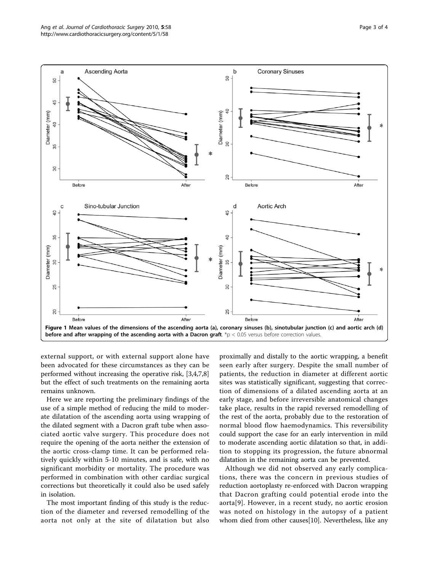external support, or with external support alone have been advocated for these circumstances as they can be performed without increasing the operative risk, [\[3,4,7](#page-3-0),[8](#page-3-0)] but the effect of such treatments on the remaining aorta remains unknown.

Here we are reporting the preliminary findings of the use of a simple method of reducing the mild to moderate dilatation of the ascending aorta using wrapping of the dilated segment with a Dacron graft tube when associated aortic valve surgery. This procedure does not require the opening of the aorta neither the extension of the aortic cross-clamp time. It can be performed relatively quickly within 5-10 minutes, and is safe, with no significant morbidity or mortality. The procedure was performed in combination with other cardiac surgical corrections but theoretically it could also be used safely in isolation.

The most important finding of this study is the reduction of the diameter and reversed remodelling of the aorta not only at the site of dilatation but also

proximally and distally to the aortic wrapping, a benefit seen early after surgery. Despite the small number of patients, the reduction in diameter at different aortic sites was statistically significant, suggesting that correction of dimensions of a dilated ascending aorta at an early stage, and before irreversible anatomical changes take place, results in the rapid reversed remodelling of the rest of the aorta, probably due to the restoration of normal blood flow haemodynamics. This reversibility could support the case for an early intervention in mild to moderate ascending aortic dilatation so that, in addition to stopping its progression, the future abnormal dilatation in the remaining aorta can be prevented.

Although we did not observed any early complications, there was the concern in previous studies of reduction aortoplasty re-enforced with Dacron wrapping that Dacron grafting could potential erode into the aorta[[9\]](#page-3-0). However, in a recent study, no aortic erosion was noted on histology in the autopsy of a patient whom died from other causes[\[10\]](#page-3-0). Nevertheless, like any

<span id="page-2-0"></span>